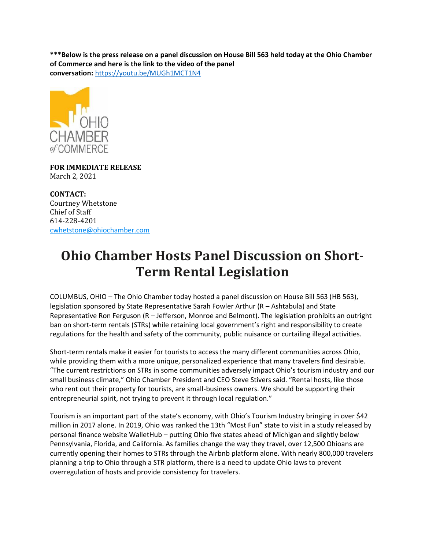**\*\*\*Below is the press release on a panel discussion on House Bill 563 held today at the Ohio Chamber of Commerce and here is the link to the video of the panel conversation:** <https://youtu.be/MUGh1MCT1N4>



**FOR IMMEDIATE RELEASE** March 2, 2021

**CONTACT:** Courtney Whetstone Chief of Staff 614-228-4201 [cwhetstone@ohiochamber.com](mailto:cwhetstone@ohiochamber.com)

## **Ohio Chamber Hosts Panel Discussion on Short-Term Rental Legislation**

COLUMBUS, OHIO – The Ohio Chamber today hosted a panel discussion on House Bill 563 (HB 563), legislation sponsored by State Representative Sarah Fowler Arthur (R – Ashtabula) and State Representative Ron Ferguson (R – Jefferson, Monroe and Belmont). The legislation prohibits an outright ban on short-term rentals (STRs) while retaining local government's right and responsibility to create regulations for the health and safety of the community, public nuisance or curtailing illegal activities.

Short-term rentals make it easier for tourists to access the many different communities across Ohio, while providing them with a more unique, personalized experience that many travelers find desirable. "The current restrictions on STRs in some communities adversely impact Ohio's tourism industry and our small business climate," Ohio Chamber President and CEO Steve Stivers said. "Rental hosts, like those who rent out their property for tourists, are small-business owners. We should be supporting their entrepreneurial spirit, not trying to prevent it through local regulation."

Tourism is an important part of the state's economy, with Ohio's Tourism Industry bringing in over \$42 million in 2017 alone. In 2019, Ohio was ranked the 13th "Most Fun" state to visit in a study released by personal finance website WalletHub – putting Ohio five states ahead of Michigan and slightly below Pennsylvania, Florida, and California. As families change the way they travel, over 12,500 Ohioans are currently opening their homes to STRs through the Airbnb platform alone. With nearly 800,000 travelers planning a trip to Ohio through a STR platform, there is a need to update Ohio laws to prevent overregulation of hosts and provide consistency for travelers.